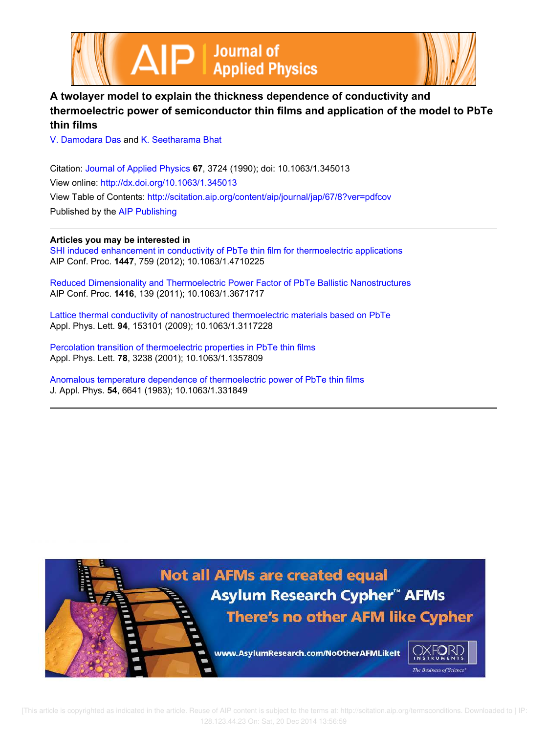



# **A twolayer model to explain the thickness dependence of conductivity and thermoelectric power of semiconductor thin films and application of the model to PbTe thin films**

V. Damodara Das and K. Seetharama Bhat

Citation: Journal of Applied Physics **67**, 3724 (1990); doi: 10.1063/1.345013 View online: http://dx.doi.org/10.1063/1.345013 View Table of Contents: http://scitation.aip.org/content/aip/journal/jap/67/8?ver=pdfcov Published by the AIP Publishing

## **Articles you may be interested in**

SHI induced enhancement in conductivity of PbTe thin film for thermoelectric applications AIP Conf. Proc. **1447**, 759 (2012); 10.1063/1.4710225

Reduced Dimensionality and Thermoelectric Power Factor of PbTe Ballistic Nanostructures AIP Conf. Proc. **1416**, 139 (2011); 10.1063/1.3671717

Lattice thermal conductivity of nanostructured thermoelectric materials based on PbTe Appl. Phys. Lett. **94**, 153101 (2009); 10.1063/1.3117228

Percolation transition of thermoelectric properties in PbTe thin films Appl. Phys. Lett. **78**, 3238 (2001); 10.1063/1.1357809

Anomalous temperature dependence of thermoelectric power of PbTe thin films J. Appl. Phys. **54**, 6641 (1983); 10.1063/1.331849

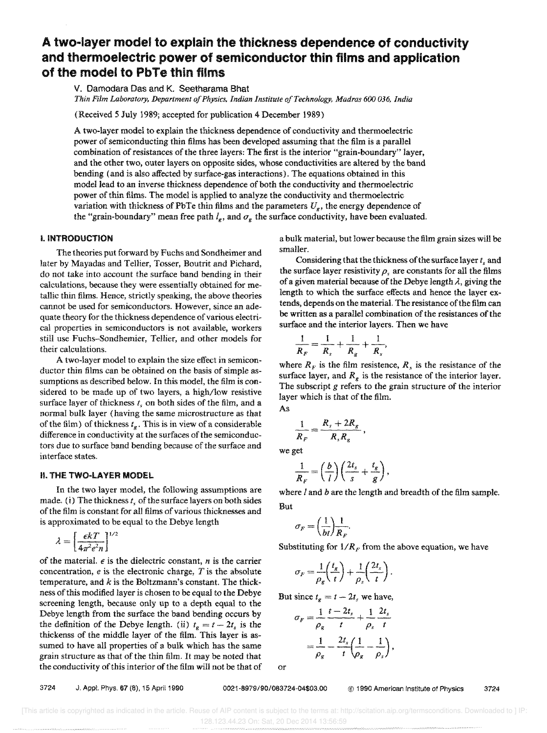# A two-layer model to explain the thickness dependence of conductivity and thermoelectric power of semiconductor thin films and application of the model to PbTe thin films

V. Damodara Das and K. Seetharama Bhat *Thin Film Laboratory, Department of Physics. Indian Institute a/Technology, Madras 600 036, India* 

(Received 5 July 1989; accepted for publication 4 December 1989)

A two-layer model to explain the thickness dependence of conductivity and thermoelectric power of semiconducting thin films has been developed assuming that the film is a parallel combination of resistances of the three layers: The first is the interior "grain-boundary" layer, and the other two, outer layers on opposite sides, whose conductivities are altered by the band bending (and is also affected by surface-gas interactions). The equations obtained in this model lead to an inverse thickness dependence of both the conductivity and thermoelectric power of thin films. The model is applied to analyze the conductivity and thermoelectric variation with thickness of PbTe thin films and the parameters  $U_{\nu}$ , the energy dependence of the "grain-boundary" mean free path  $l_e$ , and  $\sigma_e$  the surface conductivity, have been evaluated.

## I. INTRODUCTION

The theories put forward by Fuchs and Sondheimer and later by Mayadas and Tellier, Tosser, Boutrit and Pichard, do not take into account the surface band bending in their calculations, because they were essentially obtained for me· tallic thin films. Hence, strictly speaking, the above theories cannot be used for semiconductors. However, since an adequate theory for the thickness dependence of various electrical properties in semiconductors is not available, workers still use Fuchs-Sondhemier, Tellier, and other models for their calculations.

A two-layer model to explain the size effect in semiconductor thin films can be obtained on the basis of simple assumptions as described below. In this model, the film is considered to be made up of two layers, a high/low resistive surface layer of thickness  $t<sub>s</sub>$  on both sides of the film, and a normal bulk layer (having the same microstructure as that of the film) of thickness  $t_g$ . This is in view of a considerable difference in conductivity at the surfaces of the semiconductors due to surface band bending because of the surface and interface states.

#### II. THE TWO·LAYER MODEL

In the two layer model, the following assumptions are made. (i) The thickness  $t<sub>s</sub>$  of the surface layers on both sides of the film is constant for all films of various thicknesses and is approximated to be equal to the Debye length

$$
\lambda = \left[\frac{\epsilon k T}{4\pi^2 e^2 n}\right]^{1/2}
$$

of the material.  $\epsilon$  is the dielectric constant,  $n$  is the carrier concentration, e is the electronic charge, *T* is the absolute temperature, and *k* is the Boltzmann's constant. The thickness of this modified layer is chosen to be equal to the Debye screening length, because only up to a depth equal to the Debye length from the surface the band bending occurs by the definition of the Debye length. (ii)  $t_g = t - 2t_s$  is the thickenss of the middle layer of the film. This layer is assumed to have all properties of a bulk which has the same grain structure as that of the thin film. It may be noted that the conductivity of this interior of the film will not be that of a bulk material, but lower because the film grain sizes will be smaller.

Considering that the thickness of the surface layer  $t_s$  and the surface layer resistivity  $\rho_s$  are constants for all the films of a given material because of the Debye length  $\lambda$ , giving the length to which the surface effects and hence the layer extends, depends on the material. The resistance of the film can be written as a parallel combination of the resistances of the surface and the interior layers. Then we have

$$
\frac{1}{R_F} = \frac{1}{R_s} + \frac{1}{R_g} + \frac{1}{R_s},
$$

where  $R_F$  is the film resistence,  $R_s$  is the resistance of the surface layer, and  $R_e$  is the resistance of the interior layer. The subscript *g* refers to the grain structure of the interior layer which is that of the film. As

$$
\frac{1}{R_F} = \frac{R_s + 2R_g}{R_s R_g}
$$

we get

$$
\frac{1}{R_F} = \left(\frac{b}{l}\right) \left(\frac{2t_s}{s} + \frac{t_g}{g}\right),
$$

where  $l$  and  $b$  are the length and breadth of the film sample. But

$$
\sigma_F = \left(\frac{1}{bt}\right)\frac{1}{R_F}.
$$

Substituting for  $1/R_F$  from the above equation, we have

$$
\sigma_F = \frac{1}{\rho_g} \left( \frac{t_g}{t} \right) + \frac{1}{\rho_s} \left( \frac{2t_s}{t} \right).
$$

But since  $t_g = t - 2t_g$  we have,

$$
\sigma_F = \frac{1}{\rho_g} \frac{t - 2t_s}{t} + \frac{1}{\rho_s} \frac{2t_s}{t}
$$

$$
= \frac{1}{\rho_g} - \frac{2t_s}{t} \left(\frac{1}{\rho_g} - \frac{1}{\rho_s}\right),
$$

or

3724 J, Appl. Phys, 67 (8). 15 April 1990 0021-6979/90/083724-04\$03.00 @ 1990 American Institute of Physics 3724

[This article is copyrighted as indicated in the article. Reuse of AIP content is subject to the terms at: http://scitation.aip.org/termsconditions. Downloaded to ] IP: 128.123.44.23 On: Sat, 20 Dec 2014 13:56:59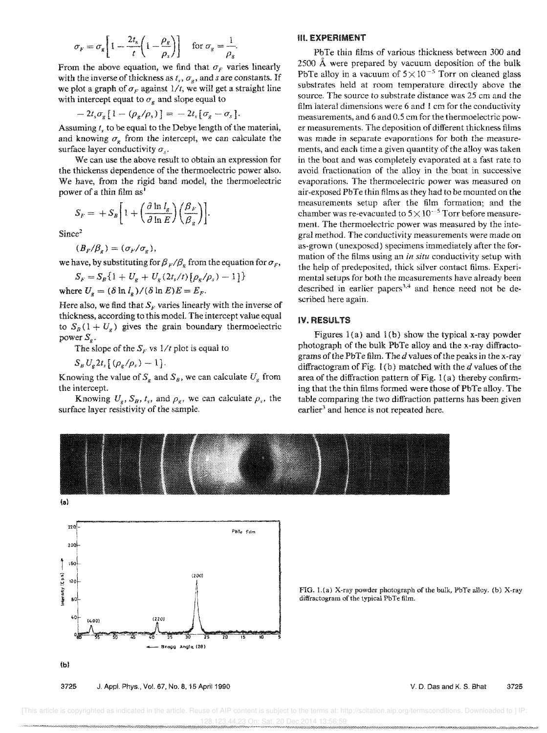$$
\sigma_F = \sigma_g \left[ 1 - \frac{2t_s}{t} \left( 1 - \frac{\rho_g}{\rho_s} \right) \right] \quad \text{for } \sigma_g = \frac{1}{\rho_g}
$$

From the above equation, we find that  $\sigma_F$  varies linearly with the inverse of thickness as  $t_s$ ,  $\sigma_g$ , and *s* are constants. If we plot a graph of  $\sigma_F$  against  $1/t$ , we will get a straight line with intercept equat to  $\sigma_{\rm g}$  and slope equal to

$$
-2t_s\sigma_g\left[1-(\rho_g/\rho_s)\right]=-2t_s\left[\sigma_g-\sigma_s\right].
$$

Assuming *t*, to be equal to the Debye length of the material, and knowing  $\sigma_{g}$  from the intercept, we can calculate the surface layer conductivity *as.* 

We can use the above result to obtain an expression for the thickenss dependence of the thermoelectric power also. We have, from the rigid band model, the thermoelectric power of a thin film  $as<sup>1</sup>$ 

$$
S_F = + S_B \bigg[ 1 + \bigg( \frac{\partial \ln l_g}{\partial \ln E} \bigg) \bigg( \frac{\beta_F}{\beta_g} \bigg) \bigg].
$$

 $Since<sup>2</sup>$ 

$$
(B_F/\beta_g)=(\sigma_F/\sigma_g),
$$

we have, by substituting for  $\beta_F/\beta_g$  from the equation for  $\sigma_F$ ,

$$
S_F = S_B \{1 + U_g + U_g (2t_s/t) [\rho_g/\rho_s) - 1]\}
$$

where  $U_q = (\delta \ln l_g) / (\delta \ln E) E = E_F$ .

Here also, we find that  $S_F$  varies linearly with the inverse of thickness, according to this model. The intercept value equal to  $S_B(1 + U_g)$  gives the grain boundary thermoelectric power  $S_{\alpha}$ .

The slope of the  $S_F$  vs  $1/t$  plot is equal to

 $S_{B} U_{e} 2t_{s} [(\rho_{e}/\rho_{s}) - 1].$ 

Knowing the value of  $S_g$  and  $S_g$ , we can calculate  $U_g$  from the intercept.

Knowing  $U_g$ ,  $S_B$ ,  $t_s$ , and  $\rho_g$ , we can calculate  $\rho_s$ , the surface layer resistivity of the sample.

#### **III. EXPERIMENT**

PbTe thin films of various thickness between 300 and 2500 A were prepared by vacuum deposition of the bulk PbTe alloy in a vacuum of  $5 \times 10^{-5}$  Torr on cleaned glass substrates held at room temperature directly above the source. The source to substrate distance was 25 cm and the film lateral dimensions were 6 and 1 em for the conductivity measurements, and 6 and 0.5 cm for the thermoelectric power measurements. The deposition of different thickness films was made in separate evaporations for both the measurements, and each time a given quantity of the aHoy was taken in the boat and was completely evaporated at a fast rate to avoid fractionation of the alloy in the boat in successive evaporations. The thermoelectric power was measured on air-exposed PbTe thin films as they had to be mounted on the measurements setup after the film formation; and the chamber was re-evacuated to  $5 \times 10^{-5}$  Torr before measurement. The thermoelectric power was measured by the integraI method. The conductivity measurements were made on as-grown (unexposed) specimens immediately after the formation of the films using an in *situ* conductivity setup with the help of predeposited, thick silver contact films. Experimental setups for both the measurements have already been described in earlier papers<sup>3,4</sup> and hence need not be described here again.

## IV. RESULTS

Figures  $l(a)$  and  $l(b)$  show the typical x-ray powder photograph of the bulk PbTe alloy and the x-ray diffractograms of the PbTe film. The d values of the peaks in the x-ray diffractogram of Fig. 1 (b) matched with the *d* values of the area of the diffraction pattern of Fig. 1 (a) thereby confirming that the thin films formed were those of PbTe alloy. The table comparing the two diffraction patterns has been given earlier<sup>3</sup> and hence is not repeated here.





3725 J. Appl. Phys., Vol. 67, No.8. 15 April 1990

FIG. l.(a) X-ray powder photograph of the bulk, PbTe alloy. (b) X-ray diffractogram of the typical PbTe film.

#### V. D. Das and K. S. Bhat 3725

 [This article is copyrighted as indicated in the article. Reuse of AIP content is subject to the terms at: http://scitation.aip.org/termsconditions. Downloaded to ] IP: 128.123.44.23 On: Sat, 20 Dec 2014 13:56:59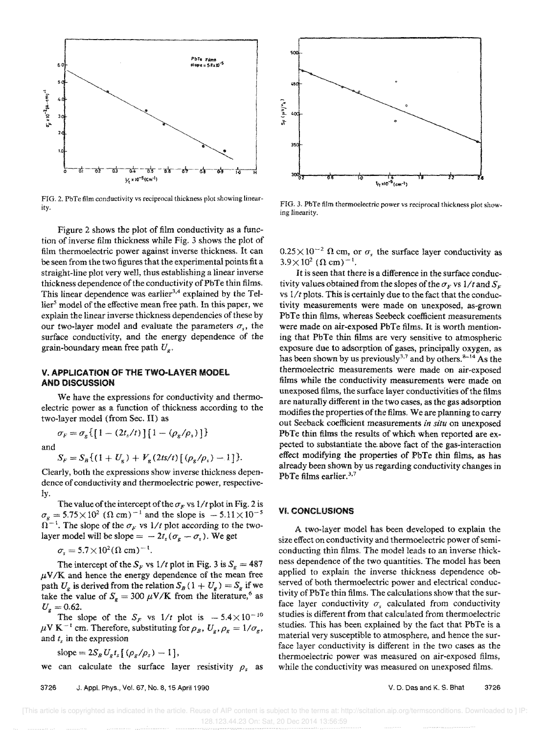

FIG. 2. PbTe film conductivity vs reciprocal thickness plot showing linearity.

Figure 2 shows the plot of film conductivity as a function of inverse film thickness while Fig. 3 shows the plot of film thermoelectric power against inverse thickness. It can be seen from the two figures that the experimental points fit a straight-line plot very well, thus establishing a linear inverse thickness dependence of the conductivity of PbTe thin films. This linear dependence was earlier<sup>3,4</sup> explained by the Tel- $\text{lier}^5$  model of the effective mean free path. In this paper, we explain the linear inverse thickness dependencies of these by our two-layer model and evaluate the parameters  $\sigma_s$ , the surface conductivity, and the energy dependence of the grain-boundary mean free path U*<sup>g</sup> •* 

### V. APPLICATION OF THE TWO-LAYER MODEL AND DISCUSSION

 $\sigma_F = \sigma_g \{ [1 - (2t_s/t)] [1 - (\rho_g/\rho_s)] \}$ 

We have the expressions for conductivity and thermoelectric power as a function of thickness according to the two-layer model (from Sec. II) as

and

$$
S_F = S_B \{ (1 + U_g) + V_g (2 \pi / t) \left[ (\rho_g / \rho_s) - 1 \right] \}.
$$

Clearly, both the expressions show inverse thickness dependence of conductivity and thermoelectric power, respectively.

The value of the intercept of the  $\sigma_F$  vs  $1/t$  plot in Fig. 2 is  $\sigma_g = 5.75 \times 10^2$  ( $\Omega$  cm)<sup>-1</sup> and the slope is  $-5.11 \times 10^{-5}$  $\Omega^{-1}$ . The slope of the  $\sigma_F$  vs 1/t plot according to the twolayer model will be slope  $= -2t_s(\sigma_g - \sigma_s)$ . We get

$$
\sigma_s = 5.7 \times 10^2 (\Omega \text{ cm})^{-1}.
$$

The intercept of the  $S_F$  vs  $1/t$  plot in Fig. 3 is  $S_g = 487$  $\mu$ V/K and hence the energy dependence of the mean free path  $U_g$  is derived from the relation  $S_B(1+U_g) = S_g$  if we take the value of  $S_g = 300 \mu \text{V/K}$  from the literature,<sup>6</sup> as  $U_{g} = 0.62.$ 

The slope of the  $S_F$  vs  $1/t$  plot is  $-5.4 \times 10^{-10}$  $\mu$ V K<sup>-1</sup> cm. Therefore, substituting for  $\rho_B$ ,  $U_g$ ,  $\rho_g = 1/\sigma_g$ , and  $t<sub>s</sub>$  in the expression

slope = 
$$
2S_B U_g t_s [\left(\frac{\rho_g}{\rho_s}\right) - 1]
$$
,

we can calculate the surface layer resistivity  $\rho_s$  as



FIG. 3. PbTe film thermoelectric power vs reciprocal thickness plot showing linearity.

 $0.25 \times 10^{-2}$   $\Omega$  cm, or  $\sigma$ , the surface layer conductivity as  $3.9 \times 10^{2}$  ( $\Omega$  cm)<sup>-1</sup>.

It is seen that there is a difference in the surface conductivity values obtained from the slopes of the  $\sigma_F$  vs  $1/t$  and  $S_F$ vs  $1/t$  plots. This is certainly due to the fact that the conductivity measurements were made on unexposed, as-grown PbTe thin films, whereas Seebeck coefficient measurements were made on air-exposed PbTe films. It is worth mentioning that PbTe thin films are very sensitive to atmospheric exposure due to adsorption of gases, principally oxygen, as has been shown by us previously<sup>3,7</sup> and by others.<sup>8-14</sup> As the thermoelectric measurements were made on air-exposed films while the conductivity measurements were made on unexposed films, the surface layer conductivities of the films are naturally different in the two cases, as the gas adsorption modifies the properties of the films. We are planning to carry out Seeback coefficient measurements *in situ* on unexposed PbTe thin films the results of which when reported are expected to substantiate the-above fact of the gas-interaction effect modifying the properties of PbTe thin films, as has already been shown by us regarding conductivity changes in PbTe films earlier.<sup>3,7</sup>

### VI. CONCLUSIONS

A two-layer model has been developed to explain the size effect on conductivity and thermoelectric power of semiconducting thin films. The model leads to an inverse thickness dependence of the two quantities. The model has been applied to explain the inverse thickness dependence observed of both thermoelectric power and electrical conductivity ofPbTe thin films. The calculations show that the surface layer conductivity  $\sigma_s$  calculated from conductivity studies is different from that calculated from thermoelectric studies. This has been explained by the fact that PbTe is a material very susceptible to atmosphere, and hence the surface layer conductivity is different in the two cases as the thermoelectric power was measured on air-exposed films, while the conductivity was measured on unexposed films.